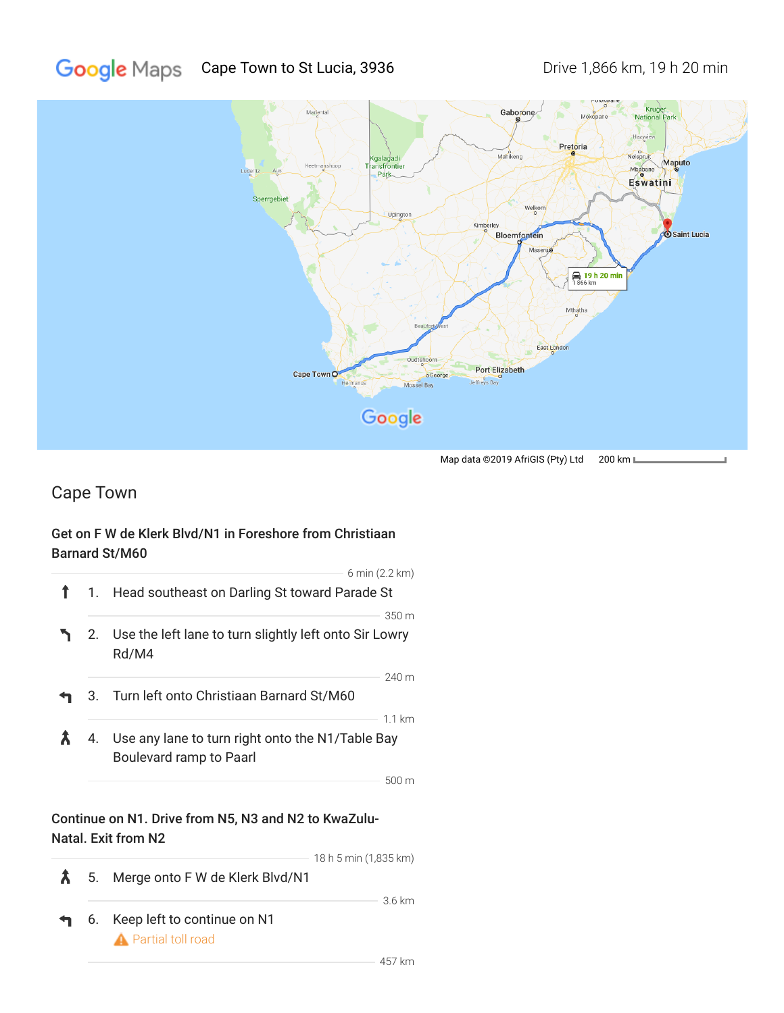

Map data ©2019 AfriGIS (Pty) Ltd 200 km L

## Cape Town

## Get on F W de Klerk Blvd/N1 in Foreshore from Christiaan Barnard St/M60

|    | $6 \text{ min} (2.2 \text{ km})$                                            |
|----|-----------------------------------------------------------------------------|
|    | 1. Head southeast on Darling St toward Parade St                            |
|    | 350 m                                                                       |
|    | 2. Use the left lane to turn slightly left onto Sir Lowry<br>Rd/M4          |
|    | $240 \text{ m}$                                                             |
|    | 3. Turn left onto Christiaan Barnard St/M60                                 |
|    | $1.1 \mathrm{km}$                                                           |
| 4. | Use any lane to turn right onto the N1/Table Bay<br>Boulevard ramp to Paarl |
|    | 500 m                                                                       |
|    | Continue on N1. Drive from N5, N3 and N2 to KwaZulu-<br>Natal. Exit from N2 |
|    | 18 h 5 min (1,835 km)                                                       |

 $\bm{\hat{\lambda}}$ 5. Merge onto F W de Klerk Blvd/N1 6. Keep left to continue on N1 **A** Partial toll road

3.6 km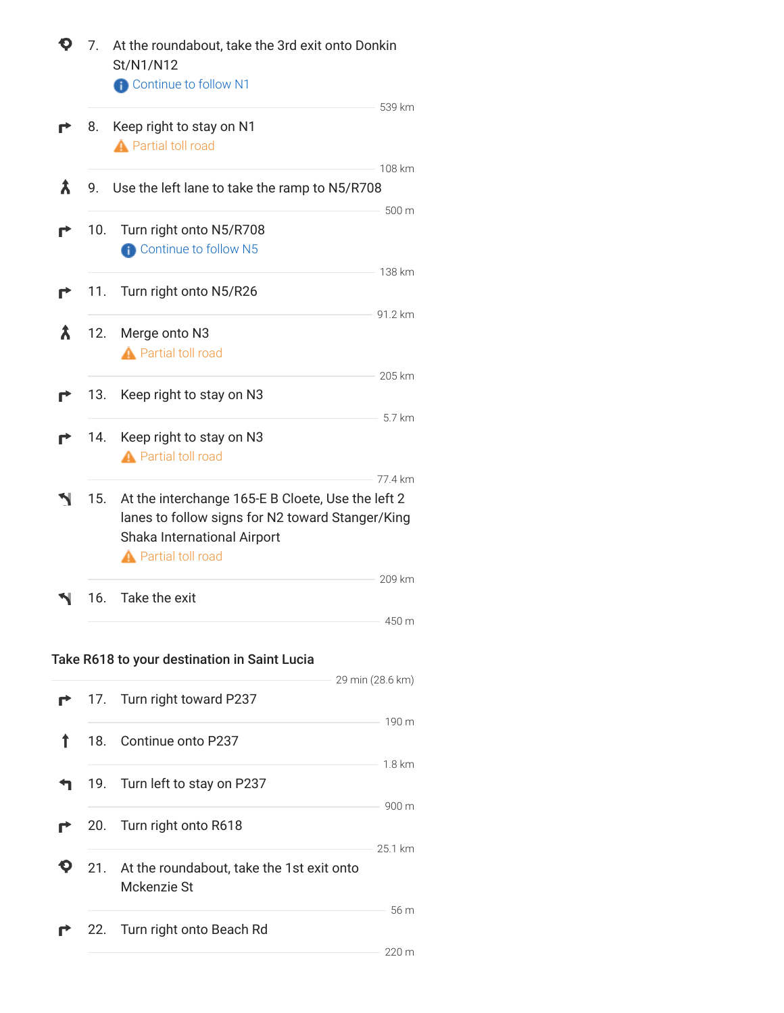|   | At the roundabout, take the 3rd exit onto Donkin<br>7.<br>St/N1/N12<br><b>A</b> Continue to follow N1 |                                                                                                                                                                               |  |  |  |
|---|-------------------------------------------------------------------------------------------------------|-------------------------------------------------------------------------------------------------------------------------------------------------------------------------------|--|--|--|
|   |                                                                                                       | 539 km                                                                                                                                                                        |  |  |  |
|   | 8.                                                                                                    | Keep right to stay on N1<br><b>A</b> Partial toll road                                                                                                                        |  |  |  |
| Х | 9.                                                                                                    | 108 km<br>Use the left lane to take the ramp to N5/R708                                                                                                                       |  |  |  |
|   | 10.                                                                                                   | 500 m<br>Turn right onto N5/R708<br><b>Continue to follow N5</b>                                                                                                              |  |  |  |
|   | 11.                                                                                                   | 138 km<br>Turn right onto N5/R26                                                                                                                                              |  |  |  |
| λ | 12.                                                                                                   | 91.2 km<br>Merge onto N3<br><b>A</b> Partial toll road                                                                                                                        |  |  |  |
|   | 13.                                                                                                   | 205 km<br>Keep right to stay on N3                                                                                                                                            |  |  |  |
|   | 14.                                                                                                   | 5.7 km<br>Keep right to stay on N3<br><b>A</b> Partial toll road                                                                                                              |  |  |  |
|   | 15.                                                                                                   | 77.4 km<br>At the interchange 165-E B Cloete, Use the left 2<br>lanes to follow signs for N2 toward Stanger/King<br>Shaka International Airport<br><b>A</b> Partial toll road |  |  |  |
|   | 16.                                                                                                   | 209 km<br>Take the exit                                                                                                                                                       |  |  |  |
|   |                                                                                                       | 450 m                                                                                                                                                                         |  |  |  |
|   |                                                                                                       | Take R618 to your destination in Saint Lucia<br>29 min (28.6 km)                                                                                                              |  |  |  |
|   | 17.                                                                                                   | Turn right toward P237<br>190 m                                                                                                                                               |  |  |  |
|   | 18.                                                                                                   | Continue onto P237<br>$1.8 \mathrm{km}$                                                                                                                                       |  |  |  |
|   | 19.                                                                                                   | Turn left to stay on P237                                                                                                                                                     |  |  |  |
|   | 20.                                                                                                   | 900 m<br>Turn right onto R618<br>25.1 km                                                                                                                                      |  |  |  |
|   | 21.                                                                                                   | At the roundabout, take the 1st exit onto<br>Mckenzie St                                                                                                                      |  |  |  |
|   | 22.                                                                                                   | 56 m<br>Turn right onto Beach Rd                                                                                                                                              |  |  |  |